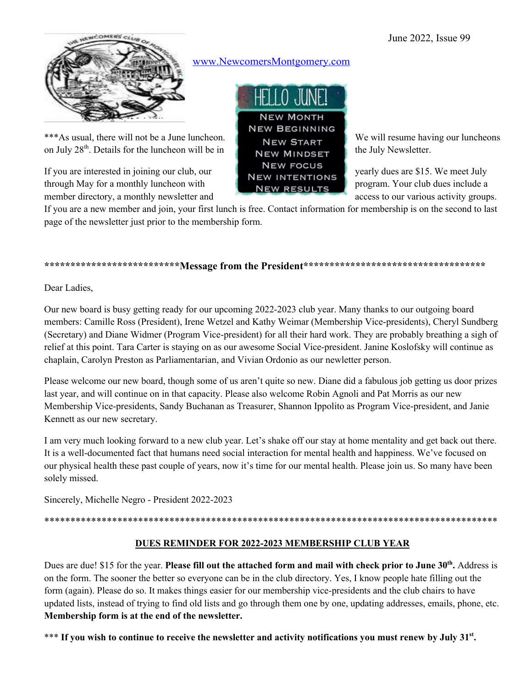June 2022, Issue 99



\*\*\*As usual, there will not be a June luncheon.  $NEW$  START We will resume having our luncheons on July  $28<sup>th</sup>$ . Details for the luncheon will be in  $NEW$  MINDSET the July Newsletter.

If you are interested in joining our club, our NEW FOCUS yearly dues are \$15. We meet July through May for a monthly luncheon with **NEW RESULTS** program. Your club dues include a member directory, a monthly newsletter and access to our various activity groups.

www.NewcomersMontgomery.com



If you are a new member and join, your first lunch is free. Contact information for membership is on the second to last page of the newsletter just prior to the membership form.

#### **\*\*\*\*\*\*\*\*\*\*\*\*\*\*\*\*\*\*\*\*\*\*\*\*\*\*Message from the President\*\*\*\*\*\*\*\*\*\*\*\*\*\*\*\*\*\*\*\*\*\*\*\*\*\*\*\*\*\*\*\*\*\*\***

Dear Ladies,

Our new board is busy getting ready for our upcoming 2022-2023 club year. Many thanks to our outgoing board members: Camille Ross (President), Irene Wetzel and Kathy Weimar (Membership Vice-presidents), Cheryl Sundberg (Secretary) and Diane Widmer (Program Vice-president) for all their hard work. They are probably breathing a sigh of relief at this point. Tara Carter is staying on as our awesome Social Vice-president. Janine Koslofsky will continue as chaplain, Carolyn Preston as Parliamentarian, and Vivian Ordonio as our newletter person.

Please welcome our new board, though some of us aren't quite so new. Diane did a fabulous job getting us door prizes last year, and will continue on in that capacity. Please also welcome Robin Agnoli and Pat Morris as our new Membership Vice-presidents, Sandy Buchanan as Treasurer, Shannon Ippolito as Program Vice-president, and Janie Kennett as our new secretary.

I am very much looking forward to a new club year. Let's shake off our stay at home mentality and get back out there. It is a well-documented fact that humans need social interaction for mental health and happiness. We've focused on our physical health these past couple of years, now it's time for our mental health. Please join us. So many have been solely missed.

Sincerely, Michelle Negro - President 2022-2023

\*\*\*\*\*\*\*\*\*\*\*\*\*\*\*\*\*\*\*\*\*\*\*\*\*\*\*\*\*\*\*\*\*\*\*\*\*\*\*\*\*\*\*\*\*\*\*\*\*\*\*\*\*\*\*\*\*\*\*\*\*\*\*\*\*\*\*\*\*\*\*\*\*\*\*\*\*\*\*\*\*\*\*\*\*\*\*

#### **DUES REMINDER FOR 2022-2023 MEMBERSHIP CLUB YEAR**

Dues are due! \$15 for the year. **Please fill out the attached form and mail with check prior to June 30<sup>th</sup>. Address is** on the form. The sooner the better so everyone can be in the club directory. Yes, I know people hate filling out the form (again). Please do so. It makes things easier for our membership vice-presidents and the club chairs to have updated lists, instead of trying to find old lists and go through them one by one, updating addresses, emails, phone, etc. **Membership form is at the end of the newsletter.**

\*\*\* If you wish to continue to receive the newsletter and activity notifications you must renew by July 31<sup>st</sup>.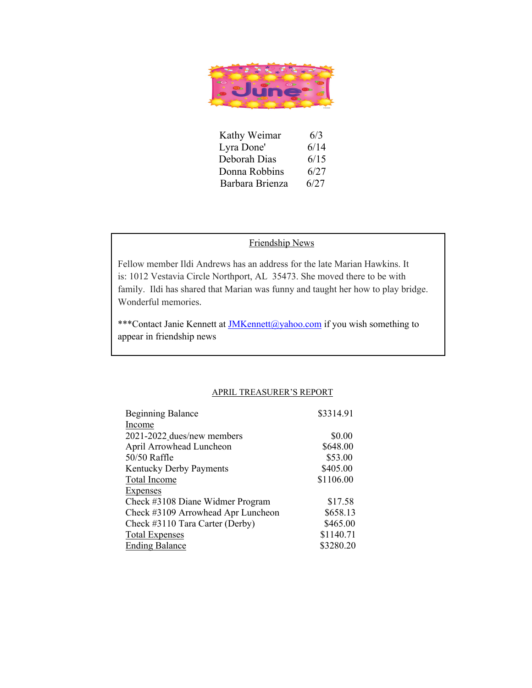

| Kathy Weimar    | 6/3  |
|-----------------|------|
| Lyra Done'      | 6/14 |
| Deborah Dias    | 6/15 |
| Donna Robbins   | 6/27 |
| Barbara Brienza | 6/27 |

#### Friendship News

Fellow member Ildi Andrews has an address for the late Marian Hawkins. It is: 1012 Vestavia Circle Northport, AL 35473. She moved there to be with family. Ildi has shared that Marian was funny and taught her how to play bridge. Wonderful memories.

\*\*\*Contact Janie Kennett at *JMKennett@yahoo.com* if you wish something to appear in friendship news

#### APRIL TREASURER'S REPORT

| <b>Beginning Balance</b>           | \$3314.91 |
|------------------------------------|-----------|
| Income                             |           |
| 2021-2022 dues/new members         | \$0.00    |
| April Arrowhead Luncheon           | \$648.00  |
| 50/50 Raffle                       | \$53.00   |
| <b>Kentucky Derby Payments</b>     | \$405.00  |
| Total Income                       | \$1106.00 |
| Expenses                           |           |
| Check #3108 Diane Widmer Program   | \$17.58   |
| Check #3109 Arrowhead Apr Luncheon | \$658.13  |
| Check #3110 Tara Carter (Derby)    | \$465.00  |
| <b>Total Expenses</b>              | \$1140.71 |
| <b>Ending Balance</b>              | \$3280.20 |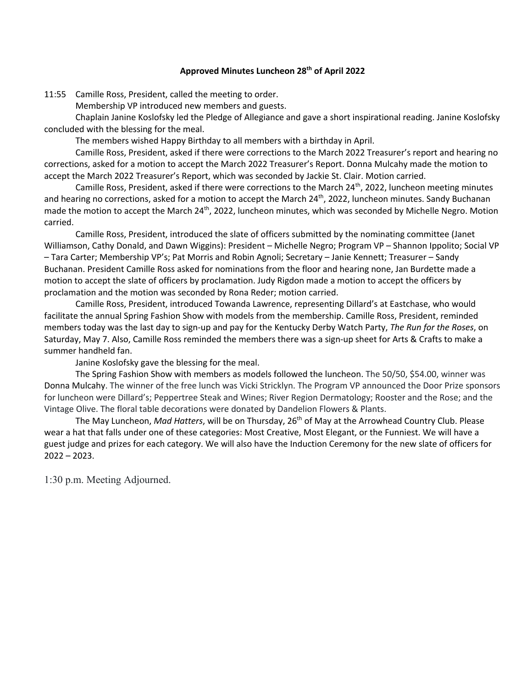#### **Approved Minutes Luncheon 28th of April 2022**

11:55 Camille Ross, President, called the meeting to order.

Membership VP introduced new members and guests.

Chaplain Janine Koslofsky led the Pledge of Allegiance and gave a short inspirational reading. Janine Koslofsky concluded with the blessing for the meal.

The members wished Happy Birthday to all members with a birthday in April.

Camille Ross, President, asked if there were corrections to the March 2022 Treasurer's report and hearing no corrections, asked for a motion to accept the March 2022 Treasurer's Report. Donna Mulcahy made the motion to accept the March 2022 Treasurer's Report, which was seconded by Jackie St. Clair. Motion carried.

Camille Ross, President, asked if there were corrections to the March 24<sup>th</sup>, 2022, luncheon meeting minutes and hearing no corrections, asked for a motion to accept the March 24<sup>th</sup>, 2022, luncheon minutes. Sandy Buchanan made the motion to accept the March 24<sup>th</sup>, 2022, luncheon minutes, which was seconded by Michelle Negro. Motion carried.

Camille Ross, President, introduced the slate of officers submitted by the nominating committee (Janet Williamson, Cathy Donald, and Dawn Wiggins): President – Michelle Negro; Program VP – Shannon Ippolito; Social VP – Tara Carter; Membership VP's; Pat Morris and Robin Agnoli; Secretary – Janie Kennett; Treasurer – Sandy Buchanan. President Camille Ross asked for nominations from the floor and hearing none, Jan Burdette made a motion to accept the slate of officers by proclamation. Judy Rigdon made a motion to accept the officers by proclamation and the motion was seconded by Rona Reder; motion carried.

Camille Ross, President, introduced Towanda Lawrence, representing Dillard's at Eastchase, who would facilitate the annual Spring Fashion Show with models from the membership. Camille Ross, President, reminded members today was the last day to sign-up and pay for the Kentucky Derby Watch Party, *The Run for the Roses*, on Saturday, May 7. Also, Camille Ross reminded the members there was a sign-up sheet for Arts & Crafts to make a summer handheld fan.

Janine Koslofsky gave the blessing for the meal.

The Spring Fashion Show with members as models followed the luncheon. The 50/50, \$54.00, winner was Donna Mulcahy. The winner of the free lunch was Vicki Stricklyn. The Program VP announced the Door Prize sponsors for luncheon were Dillard's; Peppertree Steak and Wines; River Region Dermatology; Rooster and the Rose; and the Vintage Olive. The floral table decorations were donated by Dandelion Flowers & Plants.

The May Luncheon, *Mad Hatters*, will be on Thursday, 26th of May at the Arrowhead Country Club. Please wear a hat that falls under one of these categories: Most Creative, Most Elegant, or the Funniest. We will have a guest judge and prizes for each category. We will also have the Induction Ceremony for the new slate of officers for 2022 – 2023.

1:30 p.m. Meeting Adjourned.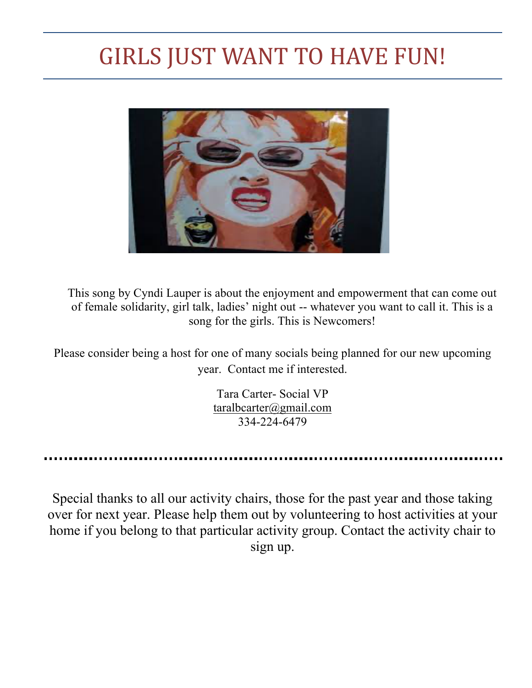## GIRLS JUST WANT TO HAVE FUN!



This song by Cyndi Lauper is about the enjoyment and empowerment that can come out of female solidarity, girl talk, ladies' night out -- whatever you want to call it. This is a song for the girls. This is Newcomers!

Please consider being a host for one of many socials being planned for our new upcoming year. Contact me if interested.

> Tara Carter- Social VP taralbcarter@gmail.com 334-224-6479

Special thanks to all our activity chairs, those for the past year and those taking over for next year. Please help them out by volunteering to host activities at your home if you belong to that particular activity group. Contact the activity chair to sign up.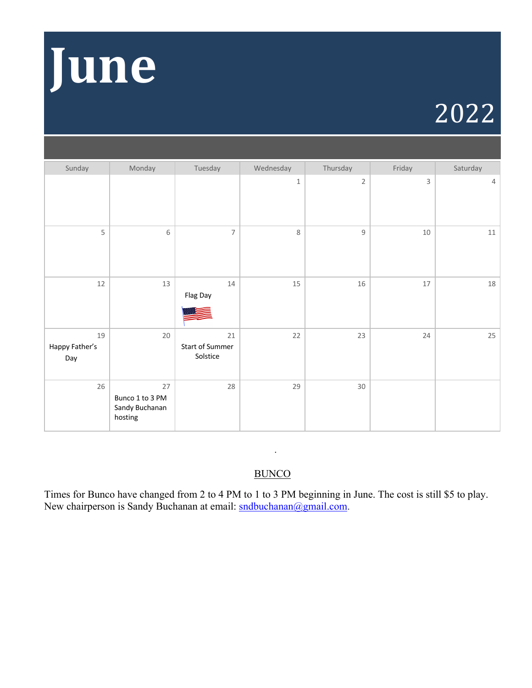

# 2022

| Sunday                      | Monday                                             | Tuesday                           | Wednesday   | Thursday       | Friday | Saturday |
|-----------------------------|----------------------------------------------------|-----------------------------------|-------------|----------------|--------|----------|
|                             |                                                    |                                   | $\mathbf 1$ | $\overline{2}$ | 3      | 4        |
| 5                           | $\,$ 6 $\,$                                        | $\overline{7}$                    | 8           | $\mathsf g$    | $10\,$ | $11\,$   |
| 12                          | 13                                                 | $14\,$<br>Flag Day                | 15          | 16             | 17     | 18       |
| 19<br>Happy Father's<br>Day | 20                                                 | 21<br>Start of Summer<br>Solstice | 22          | 23             | 24     | 25       |
| 26                          | 27<br>Bunco 1 to 3 PM<br>Sandy Buchanan<br>hosting | 28                                | 29          | $30\,$         |        |          |

## **BUNCO**

.

Times for Bunco have changed from 2 to 4 PM to 1 to 3 PM beginning in June. The cost is still \$5 to play. New chairperson is Sandy Buchanan at email: sndbuchanan@gmail.com.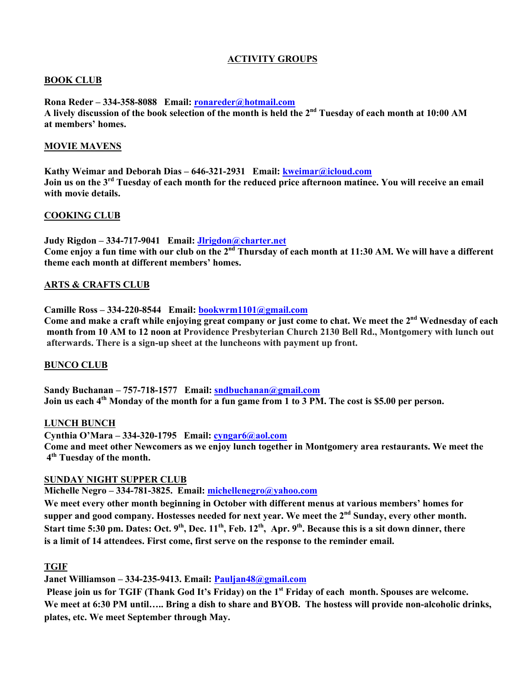#### **ACTIVITY GROUPS**

#### **BOOK CLUB**

**Rona Reder – 334-358-8088 Email: ronareder@hotmail.com A lively discussion of the book selection of the month is held the 2nd Tuesday of each month at 10:00 AM at members' homes.**

#### **MOVIE MAVENS**

**Kathy Weimar and Deborah Dias – 646-321-2931 Email: kweimar@icloud.com Join us on the 3rd Tuesday of each month for the reduced price afternoon matinee. You will receive an email with movie details.**

#### **COOKING CLUB**

**Judy Rigdon – 334-717-9041 Email: Jlrigdon@charter.net Come enjoy a fun time with our club on the 2nd Thursday of each month at 11:30 AM. We will have a different theme each month at different members' homes.**

#### **ARTS & CRAFTS CLUB**

**Camille Ross – 334-220-8544 Email: bookwrm1101@gmail.com**

Come and make a craft while enjoying great company or just come to chat. We meet the 2<sup>nd</sup> Wednesday of each **month from 10 AM to 12 noon at Providence Presbyterian Church 2130 Bell Rd., Montgomery with lunch out afterwards. There is a sign-up sheet at the luncheons with payment up front.**

#### **BUNCO CLUB**

**Sandy Buchanan – 757-718-1577 Email: sndbuchanan@gmail.com Join us each 4th Monday of the month for a fun game from 1 to 3 PM. The cost is \$5.00 per person.**

#### **LUNCH BUNCH**

**Cynthia O'Mara – 334-320-1795 Email: cyngar6@aol.com Come and meet other Newcomers as we enjoy lunch together in Montgomery area restaurants. We meet the 4th Tuesday of the month.**

#### **SUNDAY NIGHT SUPPER CLUB**

**Michelle Negro – 334-781-3825. Email: michellenegro@yahoo.com**

**We meet every other month beginning in October with different menus at various members' homes for**  supper and good company. Hostesses needed for next year. We meet the 2<sup>nd</sup> Sunday, every other month. Start time 5:30 pm. Dates: Oct. 9<sup>th</sup>, Dec. 11<sup>th</sup>, Feb. 12<sup>th</sup>, Apr. 9<sup>th</sup>. Because this is a sit down dinner, there **is a limit of 14 attendees. First come, first serve on the response to the reminder email.**

#### **TGIF**

**Janet Williamson – 334-235-9413. Email: Pauljan48@gmail.com**

**Please join us for TGIF (Thank God It's Friday) on the 1st Friday of each month. Spouses are welcome. We meet at 6:30 PM until….. Bring a dish to share and BYOB. The hostess will provide non-alcoholic drinks, plates, etc. We meet September through May.**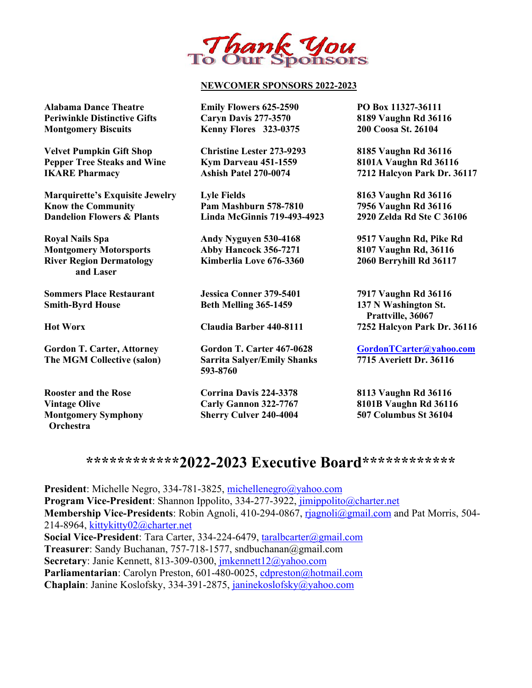

#### **NEWCOMER SPONSORS 2022-2023**

**Alabama Dance Theatre Emily Flowers 625-2590 PO Box 11327-36111 Periwinkle Distinctive Gifts Caryn Davis 277-3570 8189 Vaughn Rd 36116 Montgomery Biscuits Kenny Flores 323-0375 200 Coosa St. 26104**

**Velvet Pumpkin Gift Shop Christine Lester 273-9293 8185 Vaughn Rd 36116 Pepper Tree Steaks and Wine Kym Darveau 451-1559 8101A Vaughn Rd 36116 IKARE Pharmacy Ashish Patel 270-0074 7212 Halcyon Park Dr. 36117**

**Marquirette's Exquisite Jewelry Lyle Fields 8163 Vaughn Rd 36116 Know the Community Pam Mashburn 578-7810 7956 Vaughn Rd 36116 Dandelion Flowers & Plants Linda McGinnis 719-493-4923 2920 Zelda Rd Ste C 36106**

**Royal Nails Spa Andy Nyguyen 530-4168 9517 Vaughn Rd, Pike Rd Montgomery Motorsports Abby Hancock 356-7271 8107 Vaughn Rd, 36116 River Region Dermatology Kimberlia Love 676-3360 2060 Berryhill Rd 36117 and Laser**

**Sommers Place Restaurant Jessica Conner 379-5401 7917 Vaughn Rd 36116 Smith-Byrd House Beth Melling 365-1459 137 N Washington St.** 

**Rooster and the Rose Corrina Davis 224-3378 8113 Vaughn Rd 36116 Orchestra**

Gordon T. Carter, Attorney **Gordon T. Carter 467-0628 Gordon TCarter @yahoo.com**<br>
The MGM Collective (salon) Sarrita Salver /Emily Shanks 7715 Averiett Dr. 36116 **The MGM Collective (salon) Sarrita Salyer/Emily Shanks 593-8760**

**Montgomery Symphony Sherry Culver 240-4004 507 Columbus St 36104**

 **Prattville, 36067 Hot Worx Claudia Barber 440-8111 7252 Halcyon Park Dr. 36116**

**Vintage Olive Carly Gannon 322-7767 8101B Vaughn Rd 36116**

## **\*\*\*\*\*\*\*\*\*\*\*\*2022-2023 Executive Board\*\*\*\*\*\*\*\*\*\*\*\***

**President**: Michelle Negro, 334-781-3825, michellenegro@yahoo.com **Program Vice-President**: Shannon Ippolito, 334-277-3922, jimippolito@charter.net **Membership Vice-Presidents**: Robin Agnoli, 410-294-0867, rjagnoli@gmail.com and Pat Morris, 504- 214-8964, kittykitty02@charter.net **Social Vice-President**: Tara Carter, 334-224-6479, taralbcarter@gmail.com **Treasurer**: Sandy Buchanan, 757-718-1577, sndbuchanan@gmail.com **Secretary**: Janie Kennett, 813-309-0300, jmkennett12@yahoo.com Parliamentarian: Carolyn Preston, 601-480-0025, cdpreston@hotmail.com **Chaplain**: Janine Koslofsky, 334-391-2875, janinekoslofsky@yahoo.com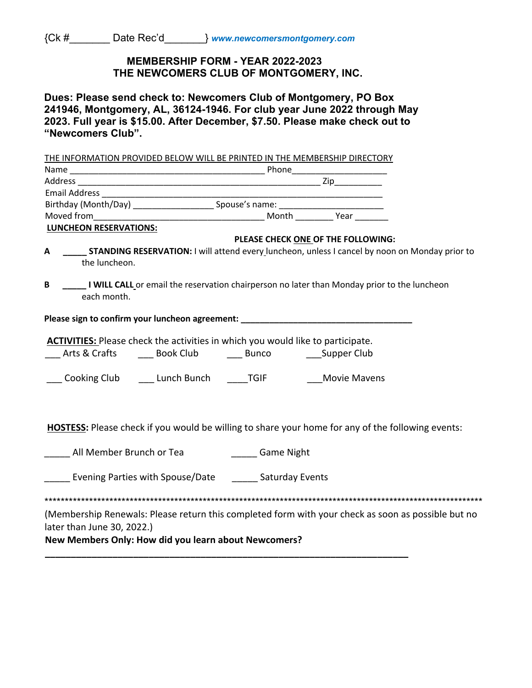### **MEMBERSHIP FORM - YEAR 2022-2023 THE NEWCOMERS CLUB OF MONTGOMERY, INC.**

**Dues: Please send check to: Newcomers Club of Montgomery, PO Box 241946, Montgomery, AL, 36124-1946. For club year June 2022 through May 2023. Full year is \$15.00. After December, \$7.50. Please make check out to "Newcomers Club".**

THE INFORMATION PROVIDED BELOW WILL BE PRINTED IN THE MEMBERSHIP DIRECTORY Name \_\_\_\_\_\_\_\_\_\_\_\_\_\_\_\_\_\_\_\_\_\_\_\_\_\_\_\_\_\_\_\_\_\_\_\_\_\_\_\_\_ Phone\_\_\_\_\_\_\_\_\_\_\_\_\_\_\_\_\_\_\_\_ Address \_\_\_\_\_\_\_\_\_\_\_\_\_\_\_\_\_\_\_\_\_\_\_\_\_\_\_\_\_\_\_\_\_\_\_\_\_\_\_\_\_\_\_\_\_\_\_\_\_\_\_ Zip\_\_\_\_\_\_\_\_\_\_ Email Address \_\_\_\_\_\_\_\_\_\_\_\_\_\_\_\_\_\_\_\_\_\_\_\_\_\_\_\_\_\_\_\_\_\_\_\_\_\_\_\_\_\_\_\_\_\_\_\_\_\_\_\_\_\_\_\_\_\_\_ Birthday (Month/Day) \_\_\_\_\_\_\_\_\_\_\_\_\_\_\_\_\_\_\_\_\_\_\_\_\_\_\_\_Spouse's name: \_\_\_\_\_\_\_\_\_\_\_\_\_\_\_\_ Moved from\_\_\_\_\_\_\_\_\_\_\_\_\_\_\_\_\_\_\_\_\_\_\_\_\_\_\_\_\_\_\_\_\_\_\_\_ Month \_\_\_\_\_\_\_\_ Year \_\_\_\_\_\_\_ **LUNCHEON RESERVATIONS: PLEASE CHECK ONE OF THE FOLLOWING: A \_\_\_\_\_ STANDING RESERVATION:** I will attend every luncheon, unless I cancel by noon on Monday prior to the luncheon. **B** \_\_\_\_\_\_ I WILL CALL or email the reservation chairperson no later than Monday prior to the luncheon each month. Please sign to confirm your luncheon agreement: \_\_\_\_\_\_\_\_\_\_\_\_\_\_\_\_\_\_\_\_\_\_\_\_\_\_\_\_\_\_\_\_\_ **ACTIVITIES:** Please check the activities in which you would like to participate. Arts & Crafts \_\_\_\_\_\_\_ Book Club \_\_\_\_\_\_\_ Bunco \_\_\_\_\_\_\_\_\_\_ Supper Club Cooking Club \_\_\_\_\_\_ Lunch Bunch \_\_\_\_\_TGIF \_\_\_\_\_\_\_\_\_Movie Mavens **HOSTESS:** Please check if you would be willing to share your home for any of the following events: **EXECUTE:** All Member Brunch or Tea **EXECUTE:** Game Night **\_\_\_\_\_** Evening Parties with Spouse/Date \_\_\_\_\_\_ Saturday Events \*\*\*\*\*\*\*\*\*\*\*\*\*\*\*\*\*\*\*\*\*\*\*\*\*\*\*\*\*\*\*\*\*\*\*\*\*\*\*\*\*\*\*\*\*\*\*\*\*\*\*\*\*\*\*\*\*\*\*\*\*\*\*\*\*\*\*\*\*\*\*\*\*\*\*\*\*\*\*\*\*\*\*\*\*\*\*\*\*\*\*\*\*\*\*\*\*\*\*\*\*\*\*\*\*\*\*\* (Membership Renewals: Please return this completed form with your check as soon as possible but no later than June 30, 2022.) **New Members Only: How did you learn about Newcomers? \_\_\_\_\_\_\_\_\_\_\_\_\_\_\_\_\_\_\_\_\_\_\_\_\_\_\_\_\_\_\_\_\_\_\_\_\_\_\_\_\_\_\_\_\_\_\_\_\_\_\_\_\_\_\_\_\_\_\_\_\_\_\_\_\_\_\_\_\_\_**